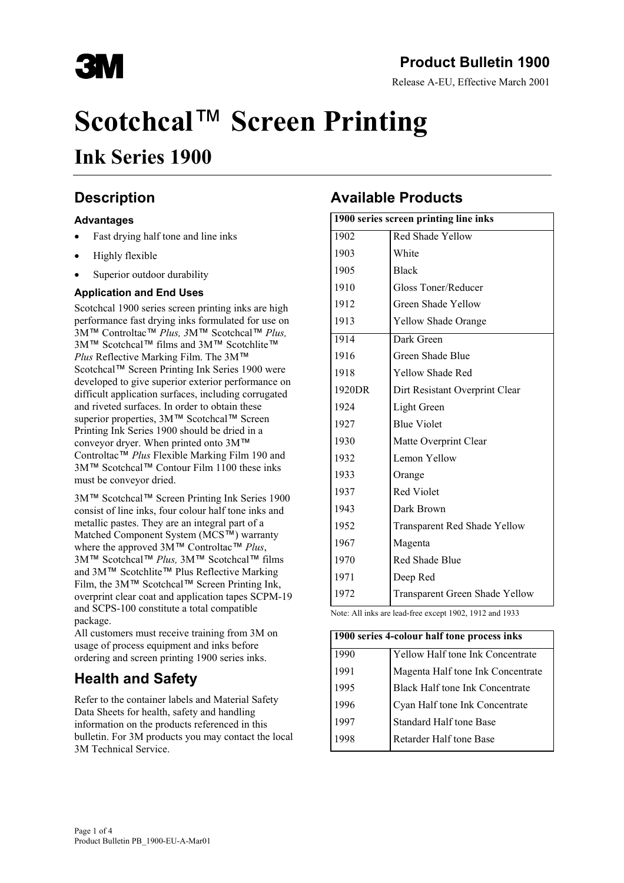

## **Product Bulletin 1900**

Release A-EU, Effective March 2001

# **Scotchcal**™ **Screen Printing**

## **Ink Series 1900**

## **Description**

#### **Advantages**

- Fast drying half tone and line inks
- Highly flexible
- Superior outdoor durability

#### **Application and End Uses**

Scotchcal 1900 series screen printing inks are high performance fast drying inks formulated for use on 3M™ Controltac™ *Plus, 3*M™ Scotchcal™ *Plus,* 3M™ Scotchcal™ films and 3M™ Scotchlite™ *Plus* Reflective Marking Film. The 3M™ Scotchcal™ Screen Printing Ink Series 1900 were developed to give superior exterior performance on difficult application surfaces, including corrugated and riveted surfaces. In order to obtain these superior properties, 3M™ Scotchcal™ Screen Printing Ink Series 1900 should be dried in a conveyor dryer. When printed onto 3M™ Controltac™ *Plus* Flexible Marking Film 190 and 3M™ Scotchcal™ Contour Film 1100 these inks must be conveyor dried.

3M™ Scotchcal™ Screen Printing Ink Series 1900 consist of line inks, four colour half tone inks and metallic pastes. They are an integral part of a Matched Component System (MCS™) warranty where the approved 3M™ Controltac™ *Plus*, 3M™ Scotchcal™ *Plus,* 3M™ Scotchcal™ films and 3M™ Scotchlite™ Plus Reflective Marking Film, the 3M™ Scotchcal™ Screen Printing Ink, overprint clear coat and application tapes SCPM-19 and SCPS-100 constitute a total compatible package.

All customers must receive training from 3M on usage of process equipment and inks before ordering and screen printing 1900 series inks.

## **Health and Safety**

Refer to the container labels and Material Safety Data Sheets for health, safety and handling information on the products referenced in this bulletin. For 3M products you may contact the local 3M Technical Service.

## **Available Products**

| 1900 series screen printing line inks |                                       |  |
|---------------------------------------|---------------------------------------|--|
| 1902                                  | <b>Red Shade Yellow</b>               |  |
| 1903                                  | White                                 |  |
| 1905                                  | <b>Black</b>                          |  |
| 1910                                  | Gloss Toner/Reducer                   |  |
| 1912                                  | Green Shade Yellow                    |  |
| 1913                                  | <b>Yellow Shade Orange</b>            |  |
| 1914                                  | Dark Green                            |  |
| 1916                                  | Green Shade Blue                      |  |
| 1918                                  | <b>Yellow Shade Red</b>               |  |
| 1920DR                                | Dirt Resistant Overprint Clear        |  |
| 1924                                  | Light Green                           |  |
| 1927                                  | <b>Blue Violet</b>                    |  |
| 1930                                  | Matte Overprint Clear                 |  |
| 1932                                  | Lemon Yellow                          |  |
| 1933                                  | Orange                                |  |
| 1937                                  | <b>Red Violet</b>                     |  |
| 1943                                  | Dark Brown                            |  |
| 1952                                  | <b>Transparent Red Shade Yellow</b>   |  |
| 1967                                  | Magenta                               |  |
| 1970                                  | Red Shade Blue                        |  |
| 1971                                  | Deep Red                              |  |
| 1972                                  | <b>Transparent Green Shade Yellow</b> |  |

Note: All inks are lead-free except 1902, 1912 and 1933

| 1900 series 4-colour half tone process inks |                                        |  |
|---------------------------------------------|----------------------------------------|--|
| 1990                                        | Yellow Half tone Ink Concentrate       |  |
| 1991                                        | Magenta Half tone Ink Concentrate      |  |
| 1995                                        | <b>Black Half tone Ink Concentrate</b> |  |
| 1996                                        | Cyan Half tone Ink Concentrate         |  |
| 1997                                        | Standard Half tone Base                |  |
| 1998                                        | Retarder Half tone Base                |  |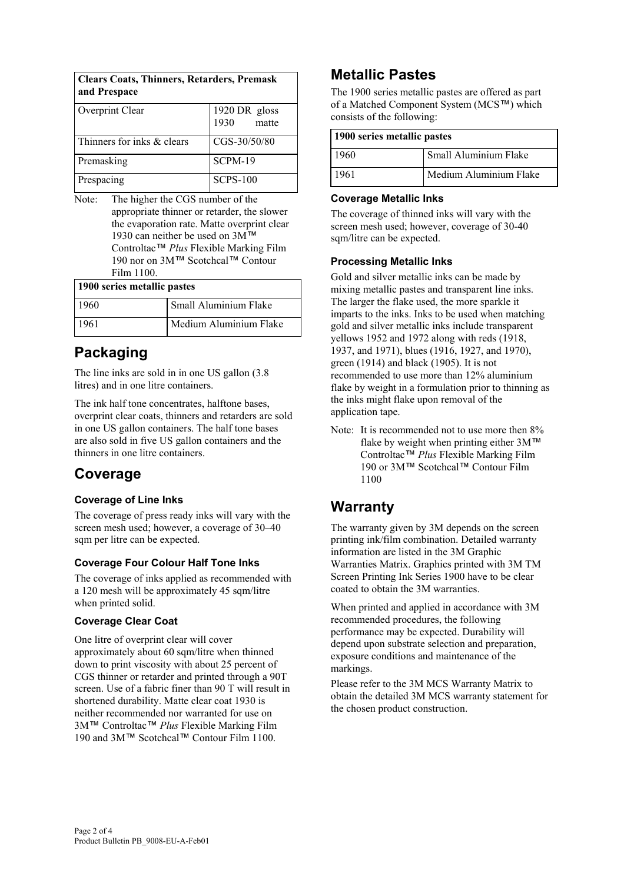| <b>Clears Coats, Thinners, Retarders, Premask</b><br>and Prespace |                                |  |
|-------------------------------------------------------------------|--------------------------------|--|
| Overprint Clear                                                   | 1920 DR gloss<br>1930<br>matte |  |
| Thinners for inks & clears                                        | CGS-30/50/80                   |  |
| Premasking                                                        | SCPM-19                        |  |
| Prespacing                                                        | <b>SCPS-100</b>                |  |

Note: The higher the CGS number of the appropriate thinner or retarder, the slower the evaporation rate. Matte overprint clear 1930 can neither be used on 3M<sup>™</sup> Controltac™ *Plus* Flexible Marking Film 190 nor on 3M™ Scotchcal™ Contour Film 1100.

| 1900 series metallic pastes |                        |  |
|-----------------------------|------------------------|--|
| 1960                        | Small Aluminium Flake  |  |
| 1961                        | Medium Aluminium Flake |  |

## **Packaging**

The line inks are sold in in one US gallon (3.8 litres) and in one litre containers.

The ink half tone concentrates, halftone bases, overprint clear coats, thinners and retarders are sold in one US gallon containers. The half tone bases are also sold in five US gallon containers and the thinners in one litre containers.

## **Coverage**

#### **Coverage of Line Inks**

The coverage of press ready inks will vary with the screen mesh used; however, a coverage of 30–40 sqm per litre can be expected.

#### **Coverage Four Colour Half Tone Inks**

The coverage of inks applied as recommended with a 120 mesh will be approximately 45 sqm/litre when printed solid.

#### **Coverage Clear Coat**

One litre of overprint clear will cover approximately about 60 sqm/litre when thinned down to print viscosity with about 25 percent of CGS thinner or retarder and printed through a 90T screen. Use of a fabric finer than 90 T will result in shortened durability. Matte clear coat 1930 is neither recommended nor warranted for use on 3M™ Controltac™ *Plus* Flexible Marking Film 190 and 3M™ Scotchcal™ Contour Film 1100.

## **Metallic Pastes**

The 1900 series metallic pastes are offered as part of a Matched Component System (MCS™) which consists of the following:

| 1900 series metallic pastes |                        |  |
|-----------------------------|------------------------|--|
| 1960                        | Small Aluminium Flake  |  |
| 1961                        | Medium Aluminium Flake |  |

#### **Coverage Metallic Inks**

The coverage of thinned inks will vary with the screen mesh used; however, coverage of 30-40 sqm/litre can be expected.

#### **Processing Metallic Inks**

Gold and silver metallic inks can be made by mixing metallic pastes and transparent line inks. The larger the flake used, the more sparkle it imparts to the inks. Inks to be used when matching gold and silver metallic inks include transparent yellows 1952 and 1972 along with reds (1918, 1937, and 1971), blues (1916, 1927, and 1970), green (1914) and black (1905). It is not recommended to use more than 12% aluminium flake by weight in a formulation prior to thinning as the inks might flake upon removal of the application tape.

Note: It is recommended not to use more then 8% flake by weight when printing either 3M™ Controltac™ *Plus* Flexible Marking Film 190 or 3M™ Scotchcal™ Contour Film 1100

## **Warranty**

The warranty given by 3M depends on the screen printing ink/film combination. Detailed warranty information are listed in the 3M Graphic Warranties Matrix. Graphics printed with 3M TM Screen Printing Ink Series 1900 have to be clear coated to obtain the 3M warranties.

When printed and applied in accordance with 3M recommended procedures, the following performance may be expected. Durability will depend upon substrate selection and preparation, exposure conditions and maintenance of the markings.

Please refer to the 3M MCS Warranty Matrix to obtain the detailed 3M MCS warranty statement for the chosen product construction.